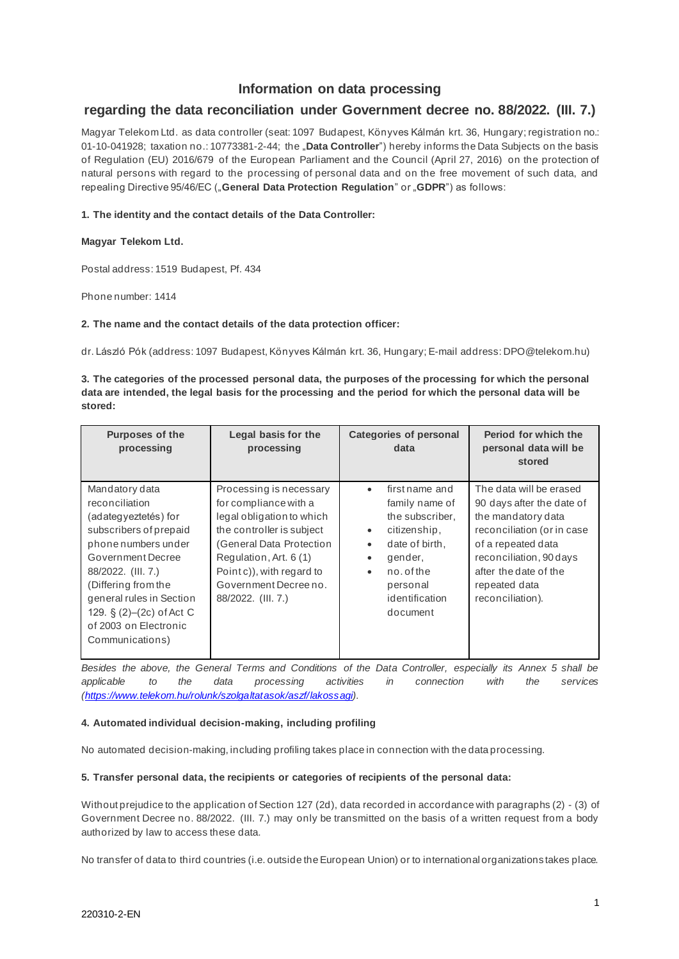# **Information on data processing**

# **regarding the data reconciliation under Government decree no. 88/2022. (III. 7.)**

Magyar Telekom Ltd. as data controller (seat: 1097 Budapest, Könyves Kálmán krt. 36, Hungary; registration no.: 01-10-041928; taxation no.: 10773381-2-44; the "**Data Controller**") hereby informs the Data Subjects on the basis of Regulation (EU) 2016/679 of the European Parliament and the Council (April 27, 2016) on the protection of natural persons with regard to the processing of personal data and on the free movement of such data, and repealing Directive 95/46/EC ("General Data Protection Regulation" or "GDPR") as follows:

## **1. The identity and the contact details of the Data Controller:**

### **Magyar Telekom Ltd.**

Postal address: 1519 Budapest, Pf. 434

Phone number: 1414

### **2. The name and the contact details of the data protection officer:**

dr. László Pók (address: 1097 Budapest, Könyves Kálmán krt. 36, Hungary; E-mail address: DPO@telekom.hu)

**3. The categories of the processed personal data, the purposes of the processing for which the personal data are intended, the legal basis for the processing and the period for which the personal data will be stored:** 

| <b>Purposes of the</b><br>processing                                                                                                                                                                                                                                              | Legal basis for the<br>processing                                                                                                                                                                                                            | <b>Categories of personal</b><br>data                                                                                                                                                                                    | Period for which the<br>personal data will be<br>stored                                                                                                                                                                 |
|-----------------------------------------------------------------------------------------------------------------------------------------------------------------------------------------------------------------------------------------------------------------------------------|----------------------------------------------------------------------------------------------------------------------------------------------------------------------------------------------------------------------------------------------|--------------------------------------------------------------------------------------------------------------------------------------------------------------------------------------------------------------------------|-------------------------------------------------------------------------------------------------------------------------------------------------------------------------------------------------------------------------|
| Mandatory data<br>reconciliation<br>(adategyeztetés) for<br>subscribers of prepaid<br>phone numbers under<br>Government Decree<br>88/2022. (III. 7.)<br>(Differing from the<br>general rules in Section<br>129. $\S(2)-(2c)$ of Act C<br>of 2003 on Electronic<br>Communications) | Processing is necessary<br>for compliance with a<br>legal obligation to which<br>the controller is subject<br>(General Data Protection<br>Regulation, Art. 6 (1)<br>Point c)), with regard to<br>Government Decree no.<br>88/2022. (III. 7.) | first name and<br>$\bullet$<br>family name of<br>the subscriber,<br>citizenship,<br>$\bullet$<br>date of birth.<br>$\bullet$<br>gender,<br>$\bullet$<br>no.of the<br>$\bullet$<br>personal<br>identification<br>document | The data will be erased<br>90 days after the date of<br>the mandatory data<br>reconciliation (or in case<br>of a repeated data<br>reconciliation, 90 days<br>after the date of the<br>repeated data<br>reconciliation). |

*Besides the above, the General Terms and Conditions of the Data Controller, especially its Annex 5 shall be applicable to the data processing activities in connection with the services [\(https://www.telekom.hu/rolunk/szolgaltatasok/aszf/lakossagi\).](https://www.telekom.hu/rolunk/szolgaltatasok/aszf/lakossagi)* 

#### **4. Automated individual decision-making, including profiling**

No automated decision-making, including profiling takes place in connection with the data processing.

# **5. Transfer personal data, the recipients or categories of recipients of the personal data:**

Without prejudice to the application of Section 127 (2d), data recorded in accordance with paragraphs (2) - (3) of Government Decree no. 88/2022. (III. 7.) may only be transmitted on the basis of a written request from a body authorized by law to access these data.

No transfer of data to third countries (i.e. outside the European Union) or to international organizations takes place.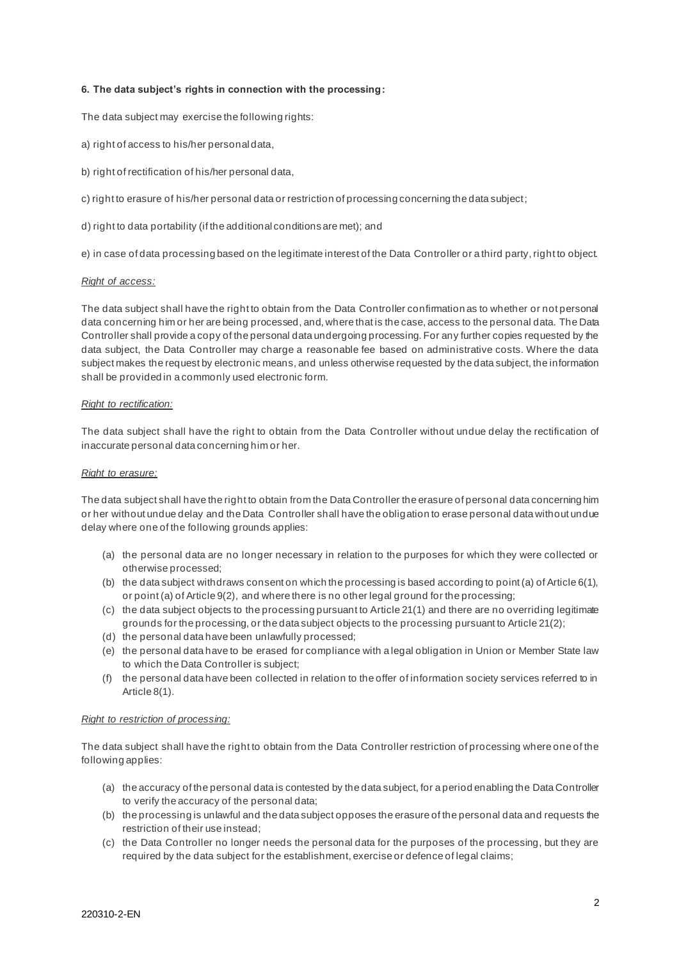### **6. The data subject's rights in connection with the processing:**

The data subject may exercise the following rights:

- a) right of access to his/her personal data,
- b) right of rectification of his/her personal data,
- c) right to erasure of his/her personal data or restriction of processing concerning the data subject;
- d) right to data portability (if the additional conditions are met); and

e) in case of data processing based on the legitimate interest of the Data Controller or a third party, right to object.

#### *Right of access:*

The data subject shall have the right to obtain from the Data Controller confirmation as to whether or not personal data concerning him or her are being processed, and, where that is the case, access to the personal data. The Data Controller shall provide a copy of the personal data undergoing processing. For any further copies requested by the data subject, the Data Controller may charge a reasonable fee based on administrative costs. Where the data subject makes the request by electronic means, and unless otherwise requested by the data subject, the information shall be provided in a commonly used electronic form.

#### *Right to rectification:*

The data subject shall have the right to obtain from the Data Controller without undue delay the rectification of inaccurate personal data concerning him or her.

#### *Right to erasure:*

The data subject shall have the right to obtain from the Data Controller the erasure of personal data concerning him or her without undue delay and the Data Controller shall have the obligation to erase personal data without undue delay where one of the following grounds applies:

- (a) the personal data are no longer necessary in relation to the purposes for which they were collected or otherwise processed;
- (b) the data subject withdraws consent on which the processing is based according to point (a) of Article 6(1), or point (a) of Article 9(2), and where there is no other legal ground for the processing;
- (c) the data subject objects to the processing pursuant to Article 21(1) and there are no overriding legitimate grounds for the processing, or the data subject objects to the processing pursuant to Article 21(2);
- (d) the personal data have been unlawfully processed;
- (e) the personal data have to be erased for compliance with a legal obligation in Union or Member State law to which the Data Controller is subject;
- (f) the personal data have been collected in relation to the offer of information society services referred to in Article 8(1).

#### *Right to restriction of processing:*

The data subject shall have the right to obtain from the Data Controller restriction of processing where one of the following applies:

- (a) the accuracy of the personal data is contested by the data subject, for a period enabling the Data Controller to verify the accuracy of the personal data;
- (b) the processing is unlawful and the data subject opposes the erasure of the personal data and requests the restriction of their use instead;
- (c) the Data Controller no longer needs the personal data for the purposes of the processing, but they are required by the data subject for the establishment, exercise or defence of legal claims;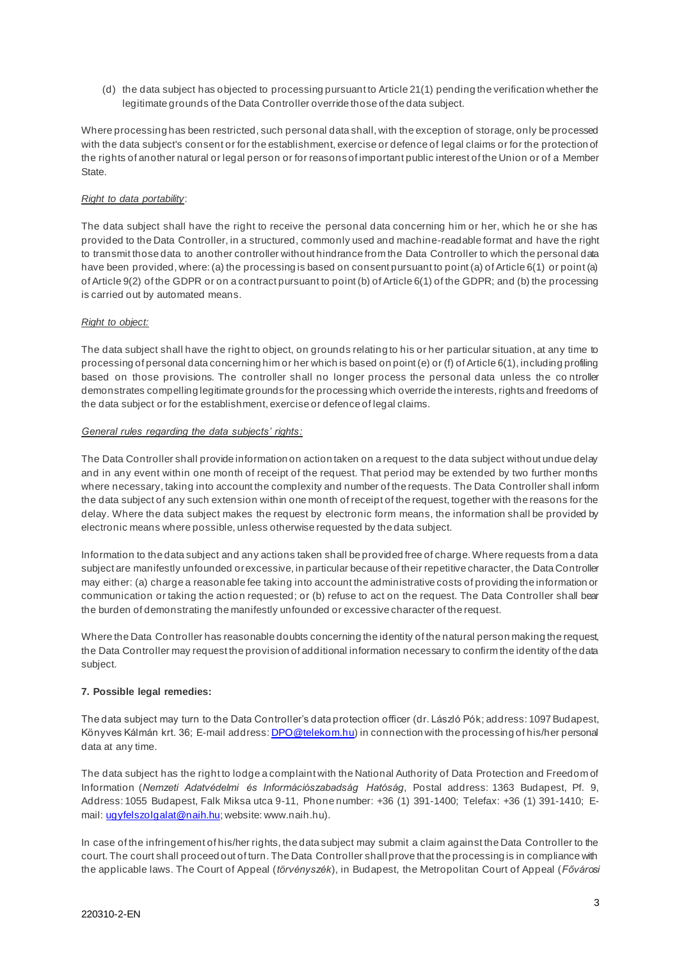(d) the data subject has objected to processing pursuant to Article 21(1) pending the verification whether the legitimate grounds of the Data Controller override those of the data subject.

Where processing has been restricted, such personal data shall, with the exception of storage, only be processed with the data subject's consent or for the establishment, exercise or defence of legal claims or for the protection of the rights of another natural or legal person or for reasons of important public interest of the Union or of a Member State.

### *Right to data portability*:

The data subject shall have the right to receive the personal data concerning him or her, which he or she has provided to the Data Controller, in a structured, commonly used and machine-readable format and have the right to transmit those data to another controller without hindrance from the Data Controller to which the personal data have been provided, where: (a) the processing is based on consent pursuant to point (a) of Article 6(1) or point (a) of Article 9(2) of the GDPR or on a contract pursuant to point (b) of Article 6(1) of the GDPR; and (b) the processing is carried out by automated means.

#### *Right to object:*

The data subject shall have the right to object, on grounds relating to his or her particular situation, at any time to processing of personal data concerning him or her which is based on point (e) or (f) of Article 6(1), including profiling based on those provisions. The controller shall no longer process the personal data unless the co ntroller demonstrates compelling legitimate grounds for the processing which override the interests, rights and freedoms of the data subject or for the establishment, exercise or defence of legal claims.

#### *General rules regarding the data subjects' rights:*

The Data Controller shall provide information on action taken on a request to the data subject without undue delay and in any event within one month of receipt of the request. That period may be extended by two further months where necessary, taking into account the complexity and number of the requests. The Data Controller shall inform the data subject of any such extension within one month of receipt of the request, together with the reasons for the delay. Where the data subject makes the request by electronic form means, the information shall be provided by electronic means where possible, unless otherwise requested by the data subject.

Information to the data subject and any actions taken shall be provided free of charge. Where requests from a data subject are manifestly unfounded or excessive, in particular because of their repetitive character, the Data Controller may either: (a) charge a reasonable fee taking into account the administrative costs of providing the information or communication or taking the action requested; or (b) refuse to act on the request. The Data Controller shall bear the burden of demonstrating the manifestly unfounded or excessive character of the request.

Where the Data Controller has reasonable doubts concerning the identity of the natural person making the request, the Data Controller may request the provision of additional information necessary to confirm the identity of the data subject.

## **7. Possible legal remedies:**

The data subject may turn to the Data Controller's data protection officer (dr. László Pók; address: 1097 Budapest, Könyves Kálmán krt. 36; E-mail address[: DPO@telekom.hu\)](mailto:DPO@telekom.hu) in connection with the processing of his/her personal data at any time.

The data subject has the right to lodge a complaint with the National Authority of Data Protection and Freedom of Information (*Nemzeti Adatvédelmi és Információszabadság Hatóság*, Postal address: 1363 Budapest, Pf. 9, Address: 1055 Budapest, Falk Miksa utca 9-11, Phone number: +36 (1) 391-1400; Telefax: +36 (1) 391-1410; Email[: ugyfelszolgalat@naih.hu](mailto:ugyfelszolgalat@naih.hu); website: www.naih.hu).

In case of the infringement of his/her rights, the data subject may submit a claim against the Data Controller to the court. The court shall proceed out of turn. The Data Controller shall prove that the processing is in compliance with the applicable laws. The Court of Appeal (*törvényszék*), in Budapest, the Metropolitan Court of Appeal (*Fővárosi*